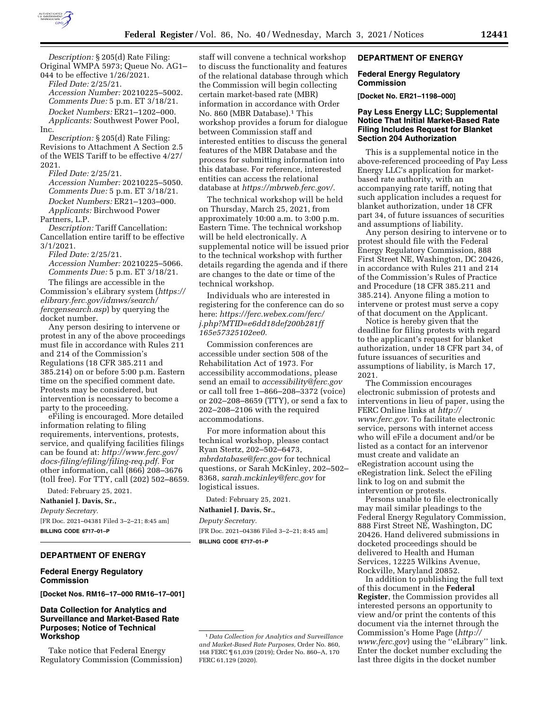

*Description:* § 205(d) Rate Filing: Original WMPA 5973; Queue No. AG1– 044 to be effective 1/26/2021.

*Filed Date:* 2/25/21. *Accession Number:* 20210225–5002. *Comments Due:* 5 p.m. ET 3/18/21. *Docket Numbers:* ER21–1202–000. *Applicants:* Southwest Power Pool, Inc.

*Description:* § 205(d) Rate Filing: Revisions to Attachment A Section 2.5 of the WEIS Tariff to be effective 4/27/ 2021.

*Filed Date:* 2/25/21. *Accession Number:* 20210225–5050. *Comments Due:* 5 p.m. ET 3/18/21. *Docket Numbers:* ER21–1203–000. *Applicants:* Birchwood Power

Partners, L.P.

*Description:* Tariff Cancellation: Cancellation entire tariff to be effective 3/1/2021.

*Filed Date:* 2/25/21. *Accession Number:* 20210225–5066. *Comments Due:* 5 p.m. ET 3/18/21.

The filings are accessible in the Commission's eLibrary system (*[https://](https://elibrary.ferc.gov/idmws/search/fercgensearch.asp) [elibrary.ferc.gov/idmws/search/](https://elibrary.ferc.gov/idmws/search/fercgensearch.asp) [fercgensearch.asp](https://elibrary.ferc.gov/idmws/search/fercgensearch.asp)*) by querying the docket number.

Any person desiring to intervene or protest in any of the above proceedings must file in accordance with Rules 211 and 214 of the Commission's Regulations (18 CFR 385.211 and 385.214) on or before 5:00 p.m. Eastern time on the specified comment date. Protests may be considered, but intervention is necessary to become a party to the proceeding.

eFiling is encouraged. More detailed information relating to filing requirements, interventions, protests, service, and qualifying facilities filings can be found at: *[http://www.ferc.gov/](http://www.ferc.gov/docs-filing/efiling/filing-req.pdf)  [docs-filing/efiling/filing-req.pdf.](http://www.ferc.gov/docs-filing/efiling/filing-req.pdf)* For other information, call (866) 208–3676 (toll free). For TTY, call (202) 502–8659.

Dated: February 25, 2021.

**Nathaniel J. Davis, Sr.,**  *Deputy Secretary.*  [FR Doc. 2021–04381 Filed 3–2–21; 8:45 am] **BILLING CODE 6717–01–P** 

## **DEPARTMENT OF ENERGY**

## **Federal Energy Regulatory Commission**

**[Docket Nos. RM16–17–000 RM16–17–001]** 

## **Data Collection for Analytics and Surveillance and Market-Based Rate Purposes; Notice of Technical Workshop**

Take notice that Federal Energy Regulatory Commission (Commission)

staff will convene a technical workshop to discuss the functionality and features of the relational database through which the Commission will begin collecting certain market-based rate (MBR) information in accordance with Order No. 860 (MBR Database).1 This workshop provides a forum for dialogue between Commission staff and interested entities to discuss the general features of the MBR Database and the process for submitting information into this database. For reference, interested entities can access the relational database at *[https://mbrweb.ferc.gov/.](https://mbrweb.ferc.gov/)* 

The technical workshop will be held on Thursday, March 25, 2021, from approximately 10:00 a.m. to 3:00 p.m. Eastern Time. The technical workshop will be held electronically. A supplemental notice will be issued prior to the technical workshop with further details regarding the agenda and if there are changes to the date or time of the technical workshop.

Individuals who are interested in registering for the conference can do so here: *[https://ferc.webex.com/ferc/](https://ferc.webex.com/ferc/j.php?MTID=e6dd18def200b281ff165e57325102ee0)  [j.php?MTID=e6dd18def200b281ff](https://ferc.webex.com/ferc/j.php?MTID=e6dd18def200b281ff165e57325102ee0) [165e57325102ee0.](https://ferc.webex.com/ferc/j.php?MTID=e6dd18def200b281ff165e57325102ee0)* 

Commission conferences are accessible under section 508 of the Rehabilitation Act of 1973. For accessibility accommodations, please send an email to *[accessibility@ferc.gov](mailto:accessibility@ferc.gov)*  or call toll free 1–866–208–3372 (voice) or 202–208–8659 (TTY), or send a fax to 202–208–2106 with the required accommodations.

For more information about this technical workshop, please contact Ryan Stertz, 202–502–6473, *[mbrdatabase@ferc.gov](mailto:mbrdatabase@ferc.gov)* for technical questions, or Sarah McKinley, 202–502– 8368, *[sarah.mckinley@ferc.gov](mailto:sarah.mckinley@ferc.gov)* for logistical issues.

Dated: February 25, 2021.

**Nathaniel J. Davis, Sr.,** 

*Deputy Secretary.*  [FR Doc. 2021–04386 Filed 3–2–21; 8:45 am] **BILLING CODE 6717–01–P** 

## **DEPARTMENT OF ENERGY**

## **Federal Energy Regulatory Commission**

**[Docket No. ER21–1198–000]** 

## **Pay Less Energy LLC; Supplemental Notice That Initial Market-Based Rate Filing Includes Request for Blanket Section 204 Authorization**

This is a supplemental notice in the above-referenced proceeding of Pay Less Energy LLC's application for marketbased rate authority, with an accompanying rate tariff, noting that such application includes a request for blanket authorization, under 18 CFR part 34, of future issuances of securities and assumptions of liability.

Any person desiring to intervene or to protest should file with the Federal Energy Regulatory Commission, 888 First Street NE, Washington, DC 20426, in accordance with Rules 211 and 214 of the Commission's Rules of Practice and Procedure (18 CFR 385.211 and 385.214). Anyone filing a motion to intervene or protest must serve a copy of that document on the Applicant.

Notice is hereby given that the deadline for filing protests with regard to the applicant's request for blanket authorization, under 18 CFR part 34, of future issuances of securities and assumptions of liability, is March 17, 2021.

The Commission encourages electronic submission of protests and interventions in lieu of paper, using the FERC Online links at *[http://](http://www.ferc.gov) [www.ferc.gov.](http://www.ferc.gov)* To facilitate electronic service, persons with internet access who will eFile a document and/or be listed as a contact for an intervenor must create and validate an eRegistration account using the eRegistration link. Select the eFiling link to log on and submit the intervention or protests.

Persons unable to file electronically may mail similar pleadings to the Federal Energy Regulatory Commission, 888 First Street NE, Washington, DC 20426. Hand delivered submissions in docketed proceedings should be delivered to Health and Human Services, 12225 Wilkins Avenue, Rockville, Maryland 20852.

In addition to publishing the full text of this document in the **Federal Register**, the Commission provides all interested persons an opportunity to view and/or print the contents of this document via the internet through the Commission's Home Page (*[http://](http://www.ferc.gov) [www.ferc.gov](http://www.ferc.gov)*) using the ''eLibrary'' link. Enter the docket number excluding the last three digits in the docket number

<sup>1</sup> *Data Collection for Analytics and Surveillance and Market-Based Rate Purposes,* Order No. 860, 168 FERC ¶ 61,039 (2019); Order No. 860–A, 170 FERC 61,129 (2020).